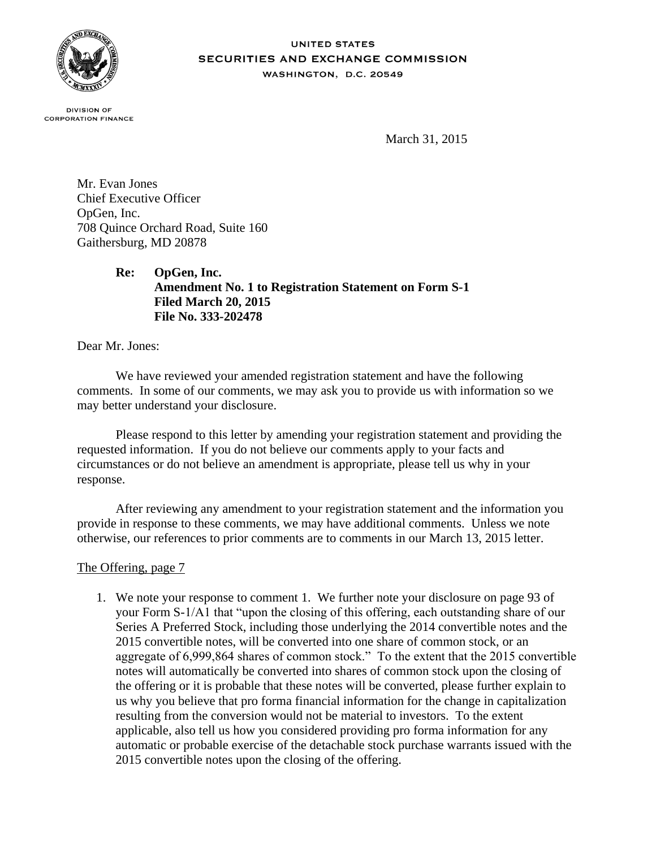

#### **UNITED STATES SECURITIES AND EXCHANGE COMMISSION** WASHINGTON, D.C. 20549

**DIVISION OF CORPORATION FINANCE** 

March 31, 2015

Mr. Evan Jones Chief Executive Officer OpGen, Inc. 708 Quince Orchard Road, Suite 160 Gaithersburg, MD 20878

> **Re: OpGen, Inc. Amendment No. 1 to Registration Statement on Form S-1 Filed March 20, 2015 File No. 333-202478**

Dear Mr. Jones:

We have reviewed your amended registration statement and have the following comments. In some of our comments, we may ask you to provide us with information so we may better understand your disclosure.

Please respond to this letter by amending your registration statement and providing the requested information. If you do not believe our comments apply to your facts and circumstances or do not believe an amendment is appropriate, please tell us why in your response.

After reviewing any amendment to your registration statement and the information you provide in response to these comments, we may have additional comments. Unless we note otherwise, our references to prior comments are to comments in our March 13, 2015 letter.

## The Offering, page 7

1. We note your response to comment 1. We further note your disclosure on page 93 of your Form S-1/A1 that "upon the closing of this offering, each outstanding share of our Series A Preferred Stock, including those underlying the 2014 convertible notes and the 2015 convertible notes, will be converted into one share of common stock, or an aggregate of 6,999,864 shares of common stock." To the extent that the 2015 convertible notes will automatically be converted into shares of common stock upon the closing of the offering or it is probable that these notes will be converted, please further explain to us why you believe that pro forma financial information for the change in capitalization resulting from the conversion would not be material to investors. To the extent applicable, also tell us how you considered providing pro forma information for any automatic or probable exercise of the detachable stock purchase warrants issued with the 2015 convertible notes upon the closing of the offering.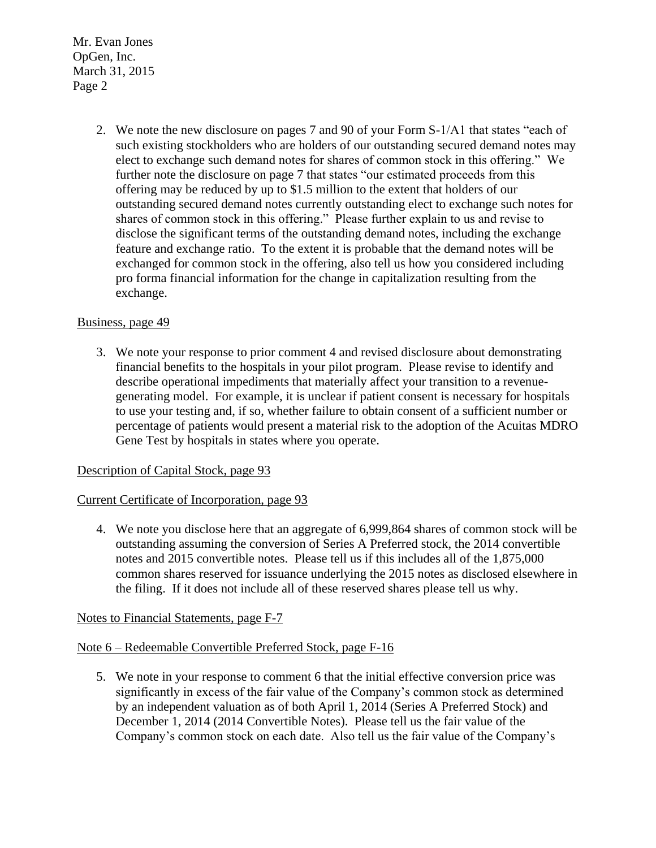> 2. We note the new disclosure on pages 7 and 90 of your Form S-1/A1 that states "each of such existing stockholders who are holders of our outstanding secured demand notes may elect to exchange such demand notes for shares of common stock in this offering." We further note the disclosure on page 7 that states "our estimated proceeds from this offering may be reduced by up to \$1.5 million to the extent that holders of our outstanding secured demand notes currently outstanding elect to exchange such notes for shares of common stock in this offering." Please further explain to us and revise to disclose the significant terms of the outstanding demand notes, including the exchange feature and exchange ratio. To the extent it is probable that the demand notes will be exchanged for common stock in the offering, also tell us how you considered including pro forma financial information for the change in capitalization resulting from the exchange.

## Business, page 49

3. We note your response to prior comment 4 and revised disclosure about demonstrating financial benefits to the hospitals in your pilot program. Please revise to identify and describe operational impediments that materially affect your transition to a revenuegenerating model. For example, it is unclear if patient consent is necessary for hospitals to use your testing and, if so, whether failure to obtain consent of a sufficient number or percentage of patients would present a material risk to the adoption of the Acuitas MDRO Gene Test by hospitals in states where you operate.

## Description of Capital Stock, page 93

## Current Certificate of Incorporation, page 93

4. We note you disclose here that an aggregate of 6,999,864 shares of common stock will be outstanding assuming the conversion of Series A Preferred stock, the 2014 convertible notes and 2015 convertible notes. Please tell us if this includes all of the 1,875,000 common shares reserved for issuance underlying the 2015 notes as disclosed elsewhere in the filing. If it does not include all of these reserved shares please tell us why.

## Notes to Financial Statements, page F-7

## Note 6 – Redeemable Convertible Preferred Stock, page F-16

5. We note in your response to comment 6 that the initial effective conversion price was significantly in excess of the fair value of the Company's common stock as determined by an independent valuation as of both April 1, 2014 (Series A Preferred Stock) and December 1, 2014 (2014 Convertible Notes). Please tell us the fair value of the Company's common stock on each date. Also tell us the fair value of the Company's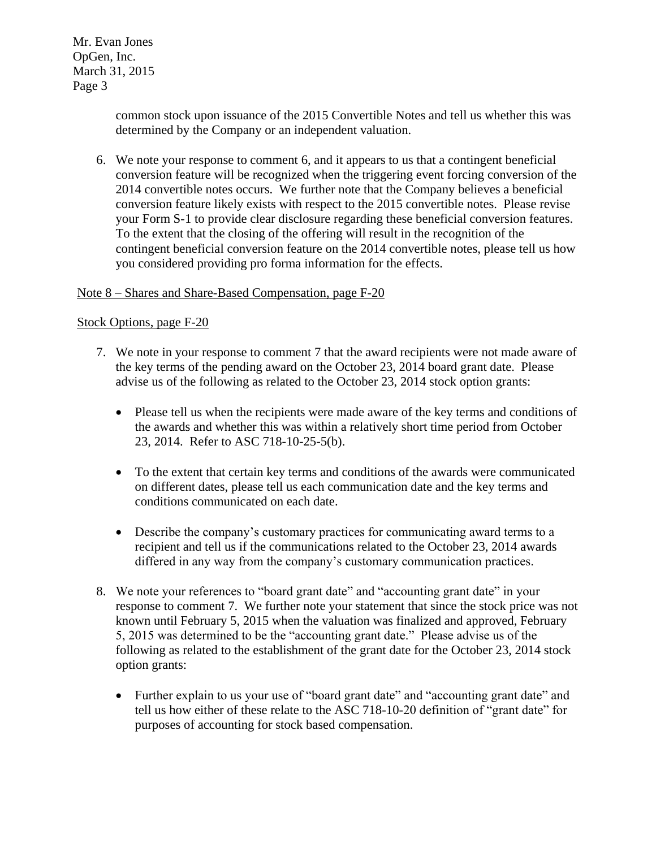> common stock upon issuance of the 2015 Convertible Notes and tell us whether this was determined by the Company or an independent valuation.

6. We note your response to comment 6, and it appears to us that a contingent beneficial conversion feature will be recognized when the triggering event forcing conversion of the 2014 convertible notes occurs. We further note that the Company believes a beneficial conversion feature likely exists with respect to the 2015 convertible notes. Please revise your Form S-1 to provide clear disclosure regarding these beneficial conversion features. To the extent that the closing of the offering will result in the recognition of the contingent beneficial conversion feature on the 2014 convertible notes, please tell us how you considered providing pro forma information for the effects.

#### Note 8 – Shares and Share-Based Compensation, page F-20

#### Stock Options, page F-20

- 7. We note in your response to comment 7 that the award recipients were not made aware of the key terms of the pending award on the October 23, 2014 board grant date. Please advise us of the following as related to the October 23, 2014 stock option grants:
	- Please tell us when the recipients were made aware of the key terms and conditions of the awards and whether this was within a relatively short time period from October 23, 2014. Refer to ASC 718-10-25-5(b).
	- To the extent that certain key terms and conditions of the awards were communicated on different dates, please tell us each communication date and the key terms and conditions communicated on each date.
	- Describe the company's customary practices for communicating award terms to a recipient and tell us if the communications related to the October 23, 2014 awards differed in any way from the company's customary communication practices.
- 8. We note your references to "board grant date" and "accounting grant date" in your response to comment 7. We further note your statement that since the stock price was not known until February 5, 2015 when the valuation was finalized and approved, February 5, 2015 was determined to be the "accounting grant date." Please advise us of the following as related to the establishment of the grant date for the October 23, 2014 stock option grants:
	- Further explain to us your use of "board grant date" and "accounting grant date" and tell us how either of these relate to the ASC 718-10-20 definition of "grant date" for purposes of accounting for stock based compensation.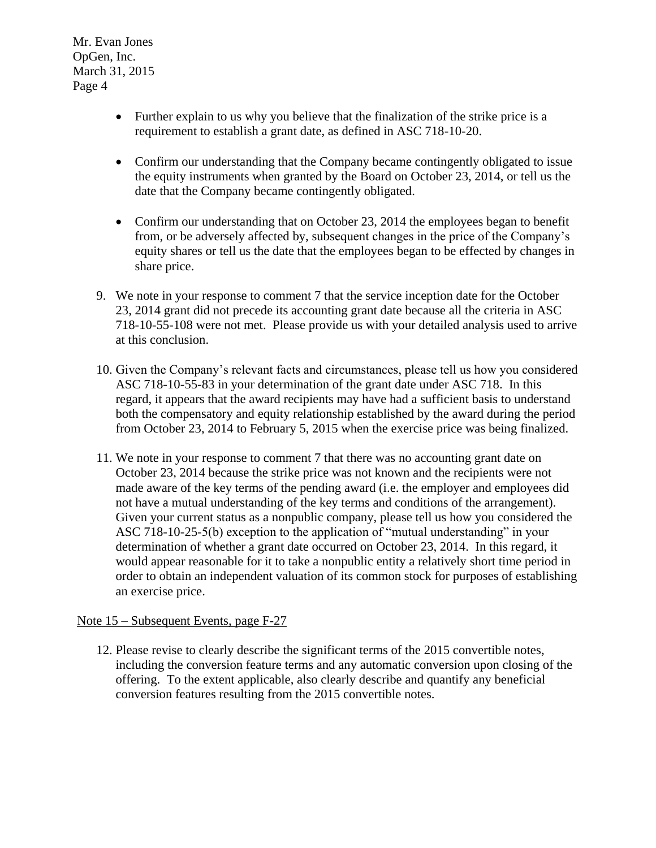- Further explain to us why you believe that the finalization of the strike price is a requirement to establish a grant date, as defined in ASC 718-10-20.
- Confirm our understanding that the Company became contingently obligated to issue the equity instruments when granted by the Board on October 23, 2014, or tell us the date that the Company became contingently obligated.
- Confirm our understanding that on October 23, 2014 the employees began to benefit from, or be adversely affected by, subsequent changes in the price of the Company's equity shares or tell us the date that the employees began to be effected by changes in share price.
- 9. We note in your response to comment 7 that the service inception date for the October 23, 2014 grant did not precede its accounting grant date because all the criteria in ASC 718-10-55-108 were not met. Please provide us with your detailed analysis used to arrive at this conclusion.
- 10. Given the Company's relevant facts and circumstances, please tell us how you considered ASC 718-10-55-83 in your determination of the grant date under ASC 718. In this regard, it appears that the award recipients may have had a sufficient basis to understand both the compensatory and equity relationship established by the award during the period from October 23, 2014 to February 5, 2015 when the exercise price was being finalized.
- 11. We note in your response to comment 7 that there was no accounting grant date on October 23, 2014 because the strike price was not known and the recipients were not made aware of the key terms of the pending award (i.e. the employer and employees did not have a mutual understanding of the key terms and conditions of the arrangement). Given your current status as a nonpublic company, please tell us how you considered the ASC 718-10-25-5(b) exception to the application of "mutual understanding" in your determination of whether a grant date occurred on October 23, 2014. In this regard, it would appear reasonable for it to take a nonpublic entity a relatively short time period in order to obtain an independent valuation of its common stock for purposes of establishing an exercise price.

# Note 15 – Subsequent Events, page F-27

12. Please revise to clearly describe the significant terms of the 2015 convertible notes, including the conversion feature terms and any automatic conversion upon closing of the offering. To the extent applicable, also clearly describe and quantify any beneficial conversion features resulting from the 2015 convertible notes.